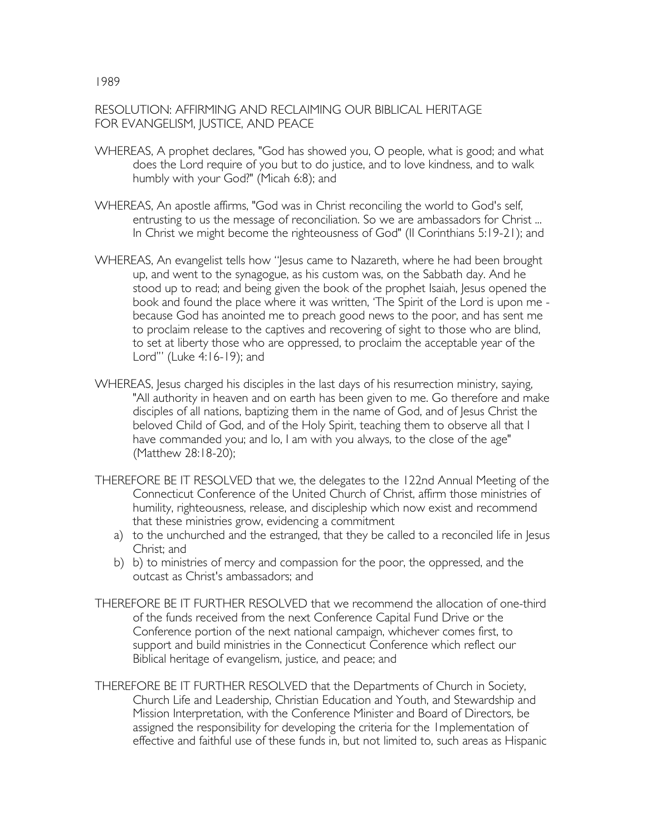## RESOLUTION: AFFIRMING AND RECLAIMING OUR BIBLICAL HERITAGE FOR EVANGELISM, JUSTICE, AND PEACE

- WHEREAS, A prophet declares, "God has showed you, O people, what is good; and what does the Lord require of you but to do justice, and to love kindness, and to walk humbly with your God?" (Micah 6:8); and
- WHEREAS, An apostle affirms, "God was in Christ reconciling the world to God's self, entrusting to us the message of reconciliation. So we are ambassadors for Christ ... In Christ we might become the righteousness of God" (II Corinthians 5:19-21); and
- WHEREAS, An evangelist tells how "Jesus came to Nazareth, where he had been brought up, and went to the synagogue, as his custom was, on the Sabbath day. And he stood up to read; and being given the book of the prophet Isaiah, Jesus opened the book and found the place where it was written, 'The Spirit of the Lord is upon me because God has anointed me to preach good news to the poor, and has sent me to proclaim release to the captives and recovering of sight to those who are blind, to set at liberty those who are oppressed, to proclaim the acceptable year of the Lord'" (Luke 4:16-19); and
- WHEREAS, Jesus charged his disciples in the last days of his resurrection ministry, saying, "All authority in heaven and on earth has been given to me. Go therefore and make disciples of all nations, baptizing them in the name of God, and of Jesus Christ the beloved Child of God, and of the Holy Spirit, teaching them to observe all that I have commanded you; and lo, I am with you always, to the close of the age" (Matthew 28:18-20);
- THEREFORE BE IT RESOLVED that we, the delegates to the 122nd Annual Meeting of the Connecticut Conference of the United Church of Christ, affirm those ministries of humility, righteousness, release, and discipleship which now exist and recommend that these ministries grow, evidencing a commitment
	- a) to the unchurched and the estranged, that they be called to a reconciled life in Jesus Christ; and
	- b) b) to ministries of mercy and compassion for the poor, the oppressed, and the outcast as Christ's ambassadors; and
- THEREFORE BE IT FURTHER RESOLVED that we recommend the allocation of one-third of the funds received from the next Conference Capital Fund Drive or the Conference portion of the next national campaign, whichever comes first, to support and build ministries in the Connecticut Conference which reflect our Biblical heritage of evangelism, justice, and peace; and
- THEREFORE BE IT FURTHER RESOLVED that the Departments of Church in Society, Church Life and Leadership, Christian Education and Youth, and Stewardship and Mission Interpretation, with the Conference Minister and Board of Directors, be assigned the responsibility for developing the criteria for the 1mplementation of effective and faithful use of these funds in, but not limited to, such areas as Hispanic

## 1989